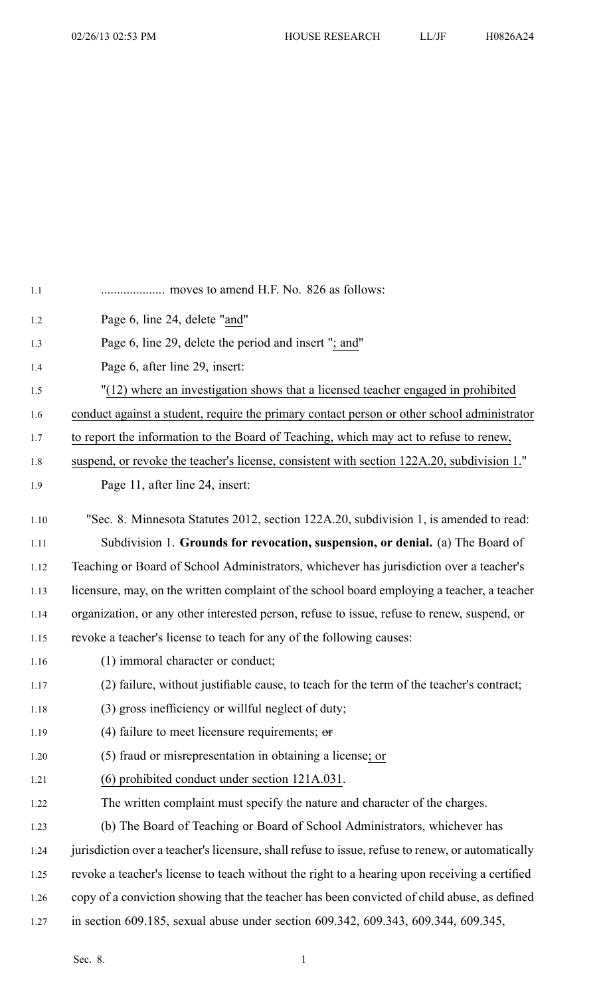| 1.1  |                                                                                                   |
|------|---------------------------------------------------------------------------------------------------|
| 1.2  | Page 6, line 24, delete "and"                                                                     |
| 1.3  | Page 6, line 29, delete the period and insert "; and"                                             |
| 1.4  | Page 6, after line 29, insert:                                                                    |
| 1.5  | "(12) where an investigation shows that a licensed teacher engaged in prohibited                  |
| 1.6  | conduct against a student, require the primary contact person or other school administrator       |
| 1.7  | to report the information to the Board of Teaching, which may act to refuse to renew,             |
| 1.8  | suspend, or revoke the teacher's license, consistent with section 122A.20, subdivision 1."        |
| 1.9  | Page 11, after line 24, insert:                                                                   |
| 1.10 | "Sec. 8. Minnesota Statutes 2012, section 122A.20, subdivision 1, is amended to read:             |
| 1.11 | Subdivision 1. Grounds for revocation, suspension, or denial. (a) The Board of                    |
| 1.12 | Teaching or Board of School Administrators, whichever has jurisdiction over a teacher's           |
| 1.13 | licensure, may, on the written complaint of the school board employing a teacher, a teacher       |
| 1.14 | organization, or any other interested person, refuse to issue, refuse to renew, suspend, or       |
| 1.15 | revoke a teacher's license to teach for any of the following causes:                              |
| 1.16 | (1) immoral character or conduct;                                                                 |
| 1.17 | (2) failure, without justifiable cause, to teach for the term of the teacher's contract;          |
| 1.18 | (3) gross inefficiency or willful neglect of duty;                                                |
| 1.19 | (4) failure to meet licensure requirements; $\sigma$                                              |
| 1.20 | (5) fraud or misrepresentation in obtaining a license; or                                         |
| 1.21 | (6) prohibited conduct under section 121A.031.                                                    |
| 1.22 | The written complaint must specify the nature and character of the charges.                       |
| 1.23 | (b) The Board of Teaching or Board of School Administrators, whichever has                        |
| 1.24 | jurisdiction over a teacher's licensure, shall refuse to issue, refuse to renew, or automatically |
| 1.25 | revoke a teacher's license to teach without the right to a hearing upon receiving a certified     |
| 1.26 | copy of a conviction showing that the teacher has been convicted of child abuse, as defined       |
| 1.27 | in section 609.185, sexual abuse under section 609.342, 609.343, 609.344, 609.345,                |
|      |                                                                                                   |